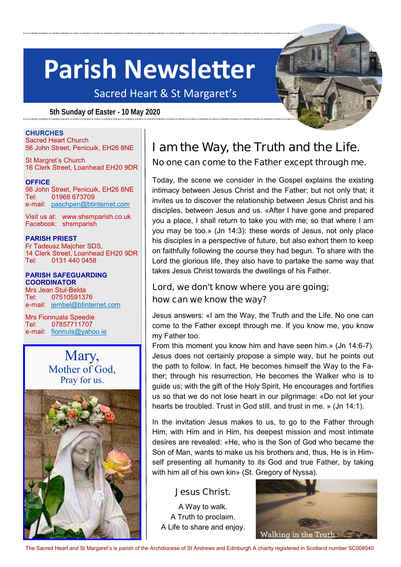## **Parish Newsletter**

Sacred Heart & St Margaret's

**5th Sunday of Easter - 10 May 2020**



#### **CHURCHES**

Sacred Heart Church 56 John Street, Penicuik, EH26 8NE

St Margret's Church 16 Clerk Street, Loanhead EH20 9DR

**OFFICE** 56 John Street, Penicuik, EH26 8NE Tel: 01968 673709 e-mail: [paschpen@btinternet.com](mailto:paschpen@btinternet.com)

Visit us at: www.shsmparish.co.uk Facebook: shsmparish

#### **PARISH PRIEST**

Fr Tadeusz Majcher SDS, 14 Clerk Street, Loanhead EH20 9DR Tel: 0131 440 0458

#### **PARISH SAFEGUARDING COORDINATOR**

Mrs Jean Stul-Belda Tel: 07510591376 e-mail: [jembel@btinternet.com](mailto:jembel@btinternet.com)

Mrs Fionnuala Speedie Tel: 07857711707 e-mail: [fionnuls@yahoo.ie](mailto:fionnuls@yahoo.ie)

> Mary, Mother of God, Pray for us.



### **I am the Way, the Truth and the Life. No one can come to the Father except through me.**

Today, the scene we consider in the Gospel explains the existing intimacy between Jesus Christ and the Father; but not only that; it invites us to discover the relationship between Jesus Christ and his disciples, between Jesus and us. «After I have gone and prepared you a place, I shall return to take you with me; so that where I am you may be too.» (Jn 14:3): these words of Jesus, not only place his disciples in a perspective of future, but also exhort them to keep on faithfully following the course they had begun. To share with the Lord the glorious life, they also have to partake the same way that takes Jesus Christ towards the dwellings of his Father.

#### **Lord, we don't know where you are going; how can we know the way?**

Jesus answers: «I am the Way, the Truth and the Life. No one can come to the Father except through me. If you know me, you know my Father too.

From this moment you know him and have seen him.» (Jn 14:6-7). Jesus does not certainly propose a simple way, but he points out the path to follow. In fact, He becomes himself the Way to the Father; through his resurrection, He becomes the Walker who is to guide us; with the gift of the Holy Spirit, He encourages and fortifies us so that we do not lose heart in our pilgrimage: «Do not let your hearts be troubled. Trust in God still, and trust in me. » (Jn 14:1).

In the invitation Jesus makes to us, to go to the Father through Him, with Him and in Him, his deepest mission and most intimate desires are revealed: «He, who is the Son of God who became the Son of Man, wants to make us his brothers and, thus, He is in Himself presenting all humanity to its God and true Father, by taking with him all of his own kin» (St. Gregory of Nyssa).

#### **Jesus Christ.**

A Way to walk. A Truth to proclaim. A Life to share and enjoy.



The Sacred Heart and St Margaret's is parish of the Archdiocese of St Andrews and Edinburgh A charity registered in Scotland number SC008540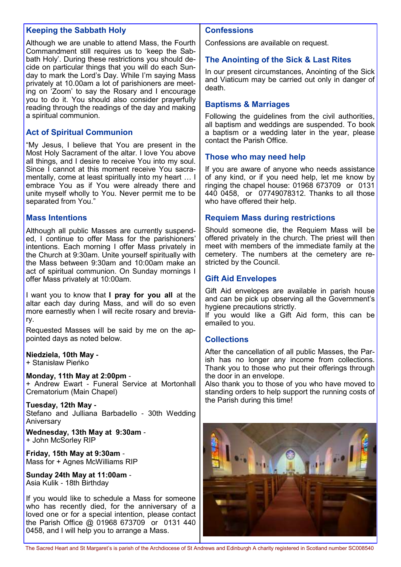#### **Keeping the Sabbath Holy**

Although we are unable to attend Mass, the Fourth Commandment still requires us to 'keep the Sabbath Holy'. During these restrictions you should decide on particular things that you will do each Sunday to mark the Lord's Day. While I'm saying Mass privately at 10.00am a lot of parishioners are meeting on 'Zoom' to say the Rosary and I encourage you to do it. You should also consider prayerfully reading through the readings of the day and making a spiritual communion.

#### **Act of Spiritual Communion**

"My Jesus, I believe that You are present in the Most Holy Sacrament of the altar. I love You above all things, and I desire to receive You into my soul. Since I cannot at this moment receive You sacramentally, come at least spiritually into my heart … I embrace You as if You were already there and unite myself wholly to You. Never permit me to be separated from You."

#### **Mass Intentions**

Although all public Masses are currently suspended, I continue to offer Mass for the parishioners' intentions. Each morning I offer Mass privately in the Church at 9:30am. Unite yourself spiritually with the Mass between 9:30am and 10:00am make an act of spiritual communion. On Sunday mornings I offer Mass privately at 10:00am.

I want you to know that **I pray for you all** at the altar each day during Mass, and will do so even more earnestly when I will recite rosary and breviary.

Requested Masses will be said by me on the appointed days as noted below.

**Niedziela, 10th May -** + Stanisław Pieńko

#### **Monday, 11th May at 2:00pm** -

+ Andrew Ewart - Funeral Service at Mortonhall Crematorium (Main Chapel)

**Tuesday, 12th May -** Stefano and Julliana Barbadello - 30th Wedding Aniversary

**Wednesday, 13th May at 9:30am** - + John McSorley RIP

**Friday, 15th May at 9:30am** - Mass for + Agnes McWilliams RIP

**Sunday 24th May at 11:00am** - Asia Kulik - 18th Birthday

If you would like to schedule a Mass for someone who has recently died, for the anniversary of a loved one or for a special intention, please contact the Parish Office @ 01968 673709 or 0131 440 0458, and I will help you to arrange a Mass.

#### **Confessions**

Confessions are available on request.

#### **The Anointing of the Sick & Last Rites**

In our present circumstances, Anointing of the Sick and Viaticum may be carried out only in danger of death.

#### **Baptisms & Marriages**

Following the guidelines from the civil authorities, all baptism and weddings are suspended. To book a baptism or a wedding later in the year, please contact the Parish Office.

#### **Those who may need help**

If you are aware of anyone who needs assistance of any kind, or if you need help, let me know by ringing the chapel house: 01968 673709 or 0131 440 0458, or 07749078312. Thanks to all those who have offered their help.

#### **Requiem Mass during restrictions**

Should someone die, the Requiem Mass will be offered privately in the church. The priest will then meet with members of the immediate family at the cemetery. The numbers at the cemetery are restricted by the Council.

#### **Gift Aid Envelopes**

Gift Aid envelopes are available in parish house and can be pick up observing all the Government's hygiene precautions strictly.

If you would like a Gift Aid form, this can be emailed to you.

#### **Collections**

After the cancellation of all public Masses, the Parish has no longer any income from collections. Thank you to those who put their offerings through the door in an envelope.

Also thank you to those of you who have moved to standing orders to help support the running costs of the Parish during this time!



The Sacred Heart and St Margaret's is parish of the Archdiocese of St Andrews and Edinburgh A charity registered in Scotland number SC008540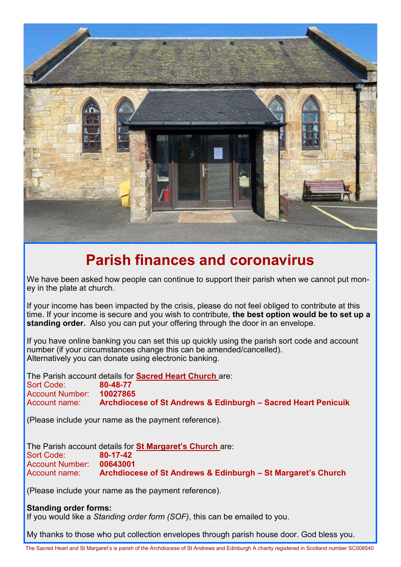

### **Parish finances and coronavirus**

We have been asked how people can continue to support their parish when we cannot put money in the plate at church.

If your income has been impacted by the crisis, please do not feel obliged to contribute at this time. If your income is secure and you wish to contribute, **the best option would be to set up a standing order.** Also you can put your offering through the door in an envelope.

If you have online banking you can set this up quickly using the parish sort code and account number (if your circumstances change this can be amended/cancelled). Alternatively you can donate using electronic banking.

The Parish account details for **Sacred Heart Church** are: Sort Code: **80-48-77 Account Number:** Account name: **Archdiocese of St Andrews & Edinburgh – Sacred Heart Penicuik**

(Please include your name as the payment reference).

The Parish account details for **St Margaret's Church** are: Sort Code: Account Number: **00643001** Account name: **Archdiocese of St Andrews & Edinburgh – St Margaret's Church**

(Please include your name as the payment reference).

**Standing order forms:**  If you would like a *Standing order form (SOF)*, this can be emailed to you.

My thanks to those who put collection envelopes through parish house door. God bless you.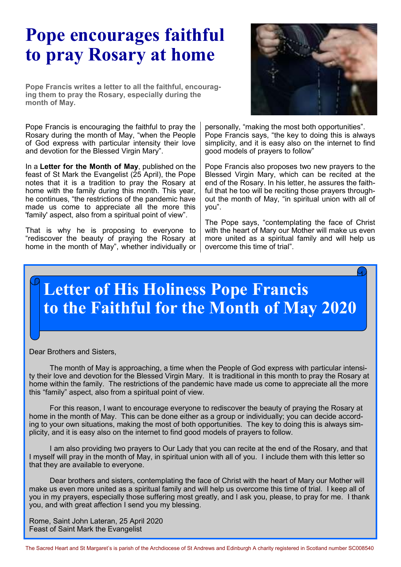## **Pope encourages faithful to pray Rosary at home**

**Pope Francis writes a letter to all the faithful, encouraging them to pray the Rosary, especially during the month of May.**

Pope Francis is encouraging the faithful to pray the Rosary during the month of May, "when the People of God express with particular intensity their love and devotion for the Blessed Virgin Mary".

In a **Letter for the Month of May**, published on the feast of St Mark the Evangelist (25 April), the Pope notes that it is a tradition to pray the Rosary at home with the family during this month. This year, he continues, "the restrictions of the pandemic have made us come to appreciate all the more this 'family' aspect, also from a spiritual point of view".

That is why he is proposing to everyone to "rediscover the beauty of praying the Rosary at home in the month of May", whether individually or



personally, "making the most both opportunities". Pope Francis says, "the key to doing this is always simplicity, and it is easy also on the internet to find good models of prayers to follow"

Pope Francis also proposes two new prayers to the Blessed Virgin Mary, which can be recited at the end of the Rosary. In his letter, he assures the faithful that he too will be reciting those prayers throughout the month of May, "in spiritual union with all of you".

The Pope says, "contemplating the face of Christ with the heart of Mary our Mother will make us even more united as a spiritual family and will help us overcome this time of trial".

## **Letter of His Holiness Pope Francis to the Faithful for the Month of May 2020**

Dear Brothers and Sisters,

 The month of May is approaching, a time when the People of God express with particular intensity their love and devotion for the Blessed Virgin Mary. It is traditional in this month to pray the Rosary at home within the family. The restrictions of the pandemic have made us come to appreciate all the more this "family" aspect, also from a spiritual point of view.

For this reason, I want to encourage everyone to rediscover the beauty of praying the Rosary at home in the month of May. This can be done either as a group or individually; you can decide according to your own situations, making the most of both opportunities. The key to doing this is always simplicity, and it is easy also on the internet to find good models of prayers to follow.

 I am also providing two prayers to Our Lady that you can recite at the end of the Rosary, and that I myself will pray in the month of May, in spiritual union with all of you. I include them with this letter so that they are available to everyone.

 Dear brothers and sisters, contemplating the face of Christ with the heart of Mary our Mother will make us even more united as a spiritual family and will help us overcome this time of trial. I keep all of you in my prayers, especially those suffering most greatly, and I ask you, please, to pray for me. I thank you, and with great affection I send you my blessing.

Rome, Saint John Lateran, 25 April 2020 Feast of Saint Mark the Evangelist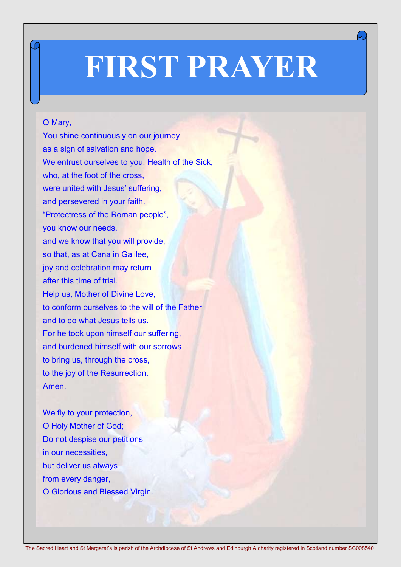# **FIRST PRAYER**

#### O Mary,

You shine continuously on our journey as a sign of salvation and hope. We entrust ourselves to you, Health of the Sick, who, at the foot of the cross, were united with Jesus' suffering, and persevered in your faith. "Protectress of the Roman people", you know our needs, and we know that you will provide, so that, as at Cana in Galilee, joy and celebration may return after this time of trial. Help us, Mother of Divine Love, to conform ourselves to the will of the Father and to do what Jesus tells us. For he took upon himself our suffering, and burdened himself with our sorrows to bring us, through the cross, to the joy of the Resurrection. Amen.

We fly to your protection, O Holy Mother of God; Do not despise our petitions in our necessities, but deliver us always from every danger, O Glorious and Blessed Virgin.